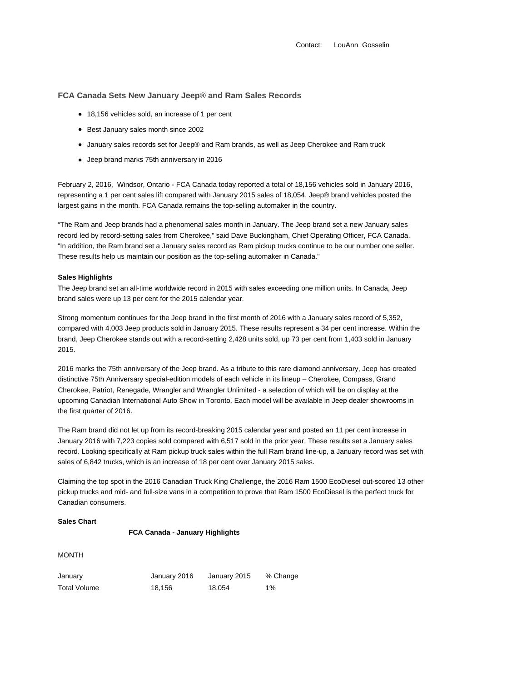Contact: LouAnn Gosselin

# **FCA Canada Sets New January Jeep® and Ram Sales Records**

- 18,156 vehicles sold, an increase of 1 per cent
- Best January sales month since 2002
- January sales records set for Jeep® and Ram brands, as well as Jeep Cherokee and Ram truck
- Jeep brand marks 75th anniversary in 2016

February 2, 2016, Windsor, Ontario - FCA Canada today reported a total of 18,156 vehicles sold in January 2016, representing a 1 per cent sales lift compared with January 2015 sales of 18,054. Jeep® brand vehicles posted the largest gains in the month. FCA Canada remains the top-selling automaker in the country.

"The Ram and Jeep brands had a phenomenal sales month in January. The Jeep brand set a new January sales record led by record-setting sales from Cherokee," said Dave Buckingham, Chief Operating Officer, FCA Canada. "In addition, the Ram brand set a January sales record as Ram pickup trucks continue to be our number one seller. These results help us maintain our position as the top-selling automaker in Canada."

### **Sales Highlights**

The Jeep brand set an all-time worldwide record in 2015 with sales exceeding one million units. In Canada, Jeep brand sales were up 13 per cent for the 2015 calendar year.

Strong momentum continues for the Jeep brand in the first month of 2016 with a January sales record of 5,352, compared with 4,003 Jeep products sold in January 2015. These results represent a 34 per cent increase. Within the brand, Jeep Cherokee stands out with a record-setting 2,428 units sold, up 73 per cent from 1,403 sold in January 2015.

2016 marks the 75th anniversary of the Jeep brand. As a tribute to this rare diamond anniversary, Jeep has created distinctive 75th Anniversary special-edition models of each vehicle in its lineup – Cherokee, Compass, Grand Cherokee, Patriot, Renegade, Wrangler and Wrangler Unlimited - a selection of which will be on display at the upcoming Canadian International Auto Show in Toronto. Each model will be available in Jeep dealer showrooms in the first quarter of 2016.

The Ram brand did not let up from its record-breaking 2015 calendar year and posted an 11 per cent increase in January 2016 with 7,223 copies sold compared with 6,517 sold in the prior year. These results set a January sales record. Looking specifically at Ram pickup truck sales within the full Ram brand line-up, a January record was set with sales of 6,842 trucks, which is an increase of 18 per cent over January 2015 sales.

Claiming the top spot in the 2016 Canadian Truck King Challenge, the 2016 Ram 1500 EcoDiesel out-scored 13 other pickup trucks and mid- and full-size vans in a competition to prove that Ram 1500 EcoDiesel is the perfect truck for Canadian consumers.

## **Sales Chart**

### **FCA Canada - January Highlights**

MONTH

| January      | January 2016 | January 2015 | % Change |
|--------------|--------------|--------------|----------|
| Total Volume | 18.156       | 18.054       | 1%       |